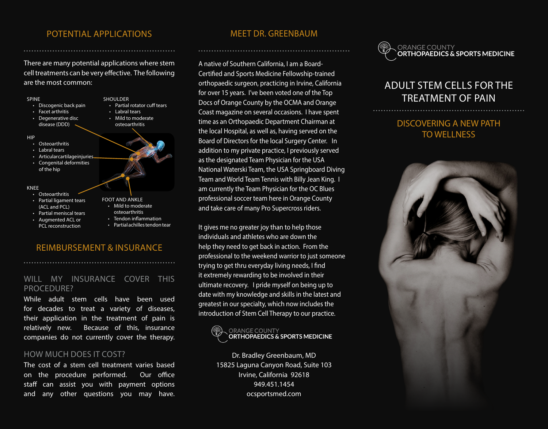#### POTENTIAL APPLICATIONS MEET DR. GREENBAUM

There are many potential applications where stem cell treatments can be very effective. The following are the most common:



#### REIMBURSEMENT & INSURANCE

#### WILL MY INSURANCE COVER THIS PROCEDURE?

While adult stem cells have been used for decades to treat a variety of diseases, their application in the treatment of pain is relatively new. Because of this, insurance companies do not currently cover the therapy.

#### HOW MUCH DOES IT COST?

The cost of a stem cell treatment varies based on the procedure performed. Our office staff can assist you with payment options and any other questions you may have.

A native of Southern California, I am a Board-Certified and Sports Medicine Fellowship-trained orthopaedic surgeon, practicing in Irvine, California for over 15 years. I've been voted one of the Top Docs of Orange County by the OCMA and Orange Coast magazine on several occasions. I have spent time as an Orthopaedic Department Chairman at the local Hospital, as well as, having served on the Board of Directors for the local Surgery Center. In addition to my private practice, I previously served as the designated Team Physician for the USA National Waterski Team, the USA Springboard Diving Team and World Team Tennis with Billy Jean King. I am currently the Team Physician for the OC Blues professional soccer team here in Orange County and take care of many Pro Supercross riders.

It gives me no greater joy than to help those individuals and athletes who are down the help they need to get back in action. From the professional to the weekend warrior to just someone trying to get thru everyday living needs, I find it extremely rewarding to be involved in their ultimate recovery. I pride myself on being up to date with my knowledge and skills in the latest and greatest in our specialty, which now includes the introduction of Stem Cell Therapy to our practice.



Dr. Bradley Greenbaum, MD 15825 Laguna Canyon Road, Suite 103 Irvine, California 92618 949.451.1454 ocsportsmed.com



# ADULT STEM CELLS FOR THE TREATMENT OF PAIN

### DISCOVERING A NEW PATH TO WELLNESS